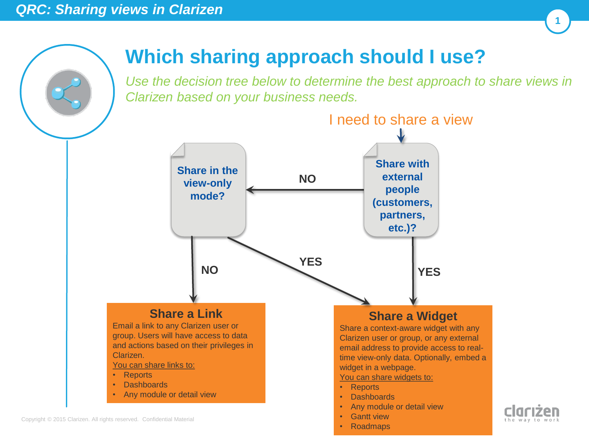

Copyright © 2015 Clarizen. All rights reserved. Confidential Material

# **Which sharing approach should I use?**

*Use the decision tree below to determine the best approach to share views in Clarizen based on your business needs.* 

**1**